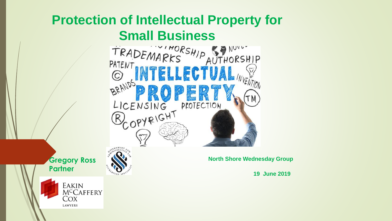## **Protection of Intellectual Property for**

**Small Business**<br>TRADEMARKS AUTHORSHIP<br>PATENT BATENT  $\rm (C)$ BRANDS **?**LICENSING PROTECTION OPYRIGHT

**Gregory Ross Partner** 



**North Shore Wednesday Group** 

**19 June 2019**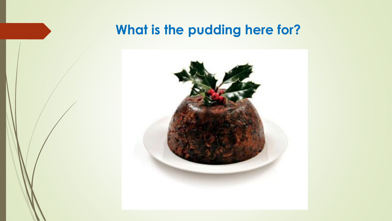## **What is the pudding here for?**

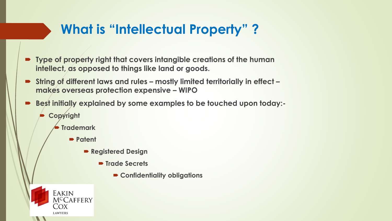## **What is "Intellectual Property" ?**

- **Type of property right that covers intangible creations of the human intellect, as opposed to things like land or goods.**
- String of different laws and rules mostly limited territorially in effect **makes overseas protection expensive – WIPO**
- **Best initially explained by some examples to be touched upon today:-**
	- **Copyright**

EAKIN

COX **LAWYERS** 

M<sup>c</sup>Caffery

- **Trademark**
	- **Patent** 
		- **Registered Design**
			- **Trade Secrets**
				- **Confidentiality obligations**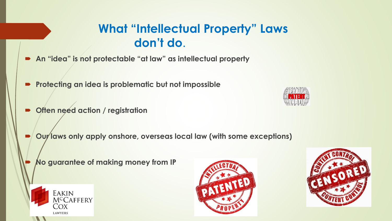#### **What "Intellectual Property" Laws don't do**.

- **An "idea" is not protectable "at law" as intellectual property**
- **Protecting an idea is problematic but not impossible**
- **Often need action / registration**
- **Our laws only apply onshore, overseas local law (with some exceptions)** 
	- **No guarantee of making money from IP**







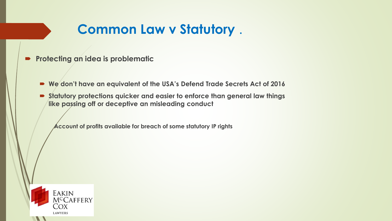## **Common Law v Statutory** .

- **Protecting an idea is problematic**
	- **We don't have an equivalent of the USA's Defend Trade Secrets Act of 2016**
	- **Statutory protections quicker and easier to enforce than general law things like passing off or deceptive an misleading conduct**

**Account of profits available for breach of some statutory IP rights** 

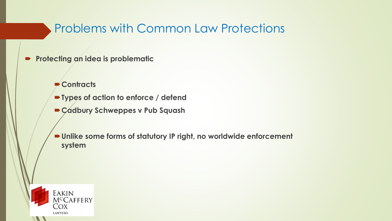#### Problems with Common Law Protections

- **Protecting an idea is problematic**
	- **Contracts**
	- **Types of action to enforce / defend**
	- **Cadbury Schweppes v Pub Squash**
	- **Unlike some forms of statutory IP right, no worldwide enforcement system**

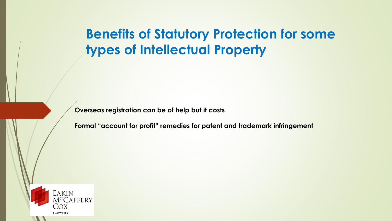**Benefits of Statutory Protection for some types of Intellectual Property** 

**Overseas registration can be of help but it costs**

**Formal "account for profit" remedies for patent and trademark infringement** 

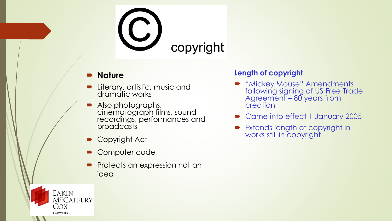# copyright

#### **Nature**

- **D** Literary, artistic, music and dramatic works
- Also photographs, cinematograph films, sound recordings, performances and **broadcasts**
- Copyright Act

EAKIN

COX **LAWYERS** 

MCCAFFERY

- Computer code
- **Protects an expression not an** idea

#### **Length of copyright**

- **"Mickey Mouse" Amendments** following signing of US Free Trade Agreement – 80 years from creation
- Came into effect 1 January 2005
- **Extends length of copyright in** works still in copyright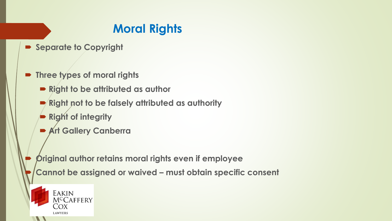## **Moral Rights**

- **Separate to Copyright**
- **Three types of moral rights**
	- **Right to be attributed as author**
	- **Right not to be falsely attributed as authority**
	- **Right of integrity**
	- **Art Gallery Canberra**
	- **Original author retains moral rights even if employee**
	- **Cannot be assigned or waived – must obtain specific consent**

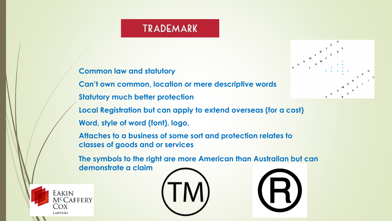#### **TRADEMARK**

#### **Common law and statutory**

**Can't own common, location or mere descriptive words Statutory much better protection**



**Local Registration but can apply to extend overseas (for a cost) Word, style of word (font), logo,**

**Attaches to a business of some sort and protection relates to classes of goods and or services** 

**The symbols to the right are more American than Australian but can demonstrate a claim** 





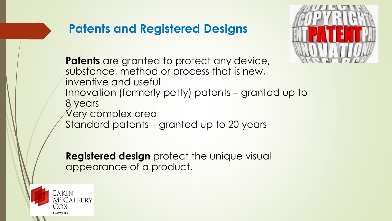#### **Patents and Registered Designs**



**Patents** are granted to protect any device, substance, method or process that is new, inventive and useful Innovation (formerly petty) patents – granted up to 8 years Very complex area Standard patents – granted up to 20 years

**Registered design** protect the unique visual appearance of a product.

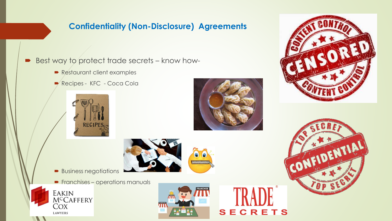#### **Confidentiality (Non-Disclosure) Agreements**

- Best way to protect trade secrets know how-
	- Restaurant client examples
	- Recipes KFC Coca Cola







- **Business negotiations**
- **Franchises operations manuals**





**NHHHHHH** 





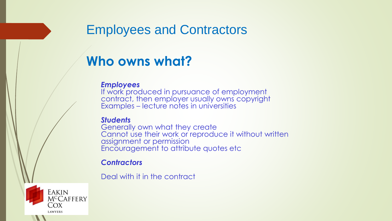### Employees and Contractors

## **Who owns what?**

#### *Employees*

If work produced in pursuance of employment contract, then employer usually owns copyright Examples – lecture notes in universities

#### *Students*

Generally own what they create Cannot use their work or reproduce it without written assignment or permission Encouragement to attribute quotes etc

#### *Contractors*

Deal with it in the contract

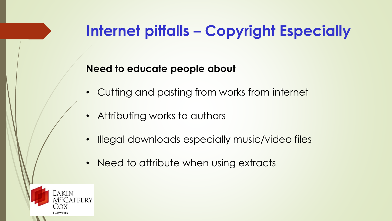## **Internet pitfalls – Copyright Especially**

#### **Need to educate people about**

- Cutting and pasting from works from internet
- Attributing works to authors
- Illegal downloads especially music/video files
- Need to attribute when using extracts

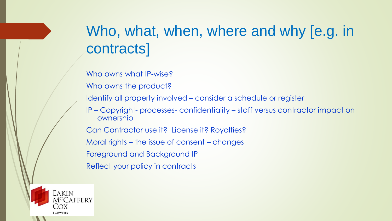## Who, what, when, where and why [e.g. in contracts]

Who owns what IP-wise?

Who owns the product?

Identify all property involved – consider a schedule or register

IP – Copyright- processes- confidentiality – staff versus contractor impact on ownership

Can Contractor use it? License it? Royalties?

Moral rights – the issue of consent – changes

Foreground and Background IP

Reflect your policy in contracts

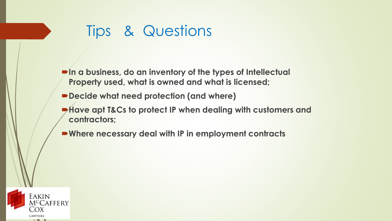## Tips & Questions

- **In a business, do an inventory of the types of Intellectual Property used, what is owned and what is licensed;**
- **Decide what need protection (and where)**
- **Have apt T&Cs to protect IP when dealing with customers and contractors;**
- **Where necessary deal with IP in employment contracts**

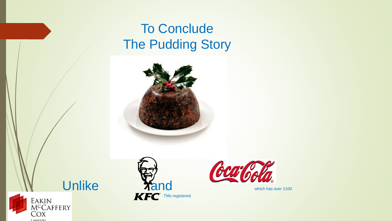## To Conclude The Pudding Story